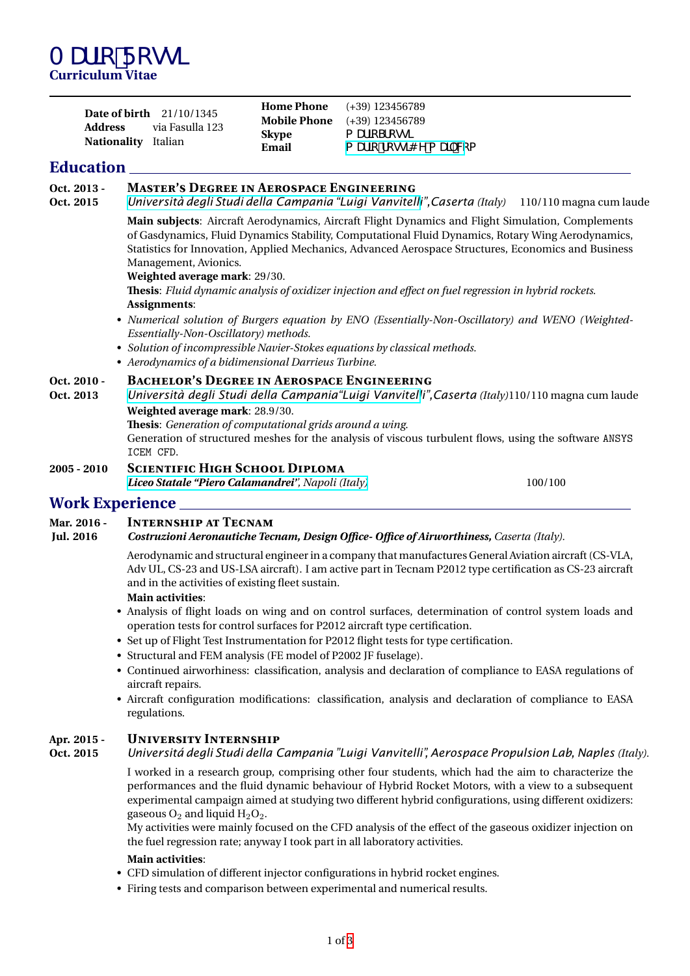| <b>Date of birth</b> 21/10/1345<br>via Fasulla 123<br>Address |                       | <b>Home Phone</b> $(+39)$ 123456789     |
|---------------------------------------------------------------|-----------------------|-----------------------------------------|
|                                                               |                       | <b>Mobile Phone</b> (+39) 123456789     |
| <b>Nationality</b> Italian                                    | <b>Skype</b><br>Email | a UfcSfcgg<br>a Uf]c"fcgg]4 Y!a U]`"W:a |

## **Education**

# **Oct. 2013 - Master's Degree in Aerospace Engineering**

**Oct. 2015** *[Università degli Studi della Campania "Luigi Vanvitelli](http://www.unina.it)",Caserta (Italy)* 110/110 magna cum laude

**Main subjects**: Aircraft Aerodynamics, Aircraft Flight Dynamics and Flight Simulation, Complements of Gasdynamics, Fluid Dynamics Stability, Computational Fluid Dynamics, Rotary Wing Aerodynamics, Statistics for Innovation, Applied Mechanics, Advanced Aerospace Structures, Economics and Business Management, Avionics.

**Weighted average mark**: 29/30.

**Thesis**: *Fluid dynamic analysis of oxidizer injection and effect on fuel regression in hybrid rockets.* **Assignments**:

- *Numerical solution of Burgers equation by ENO (Essentially-Non-Oscillatory) and WENO (Weighted-Essentially-Non-Oscillatory) methods.*
- *Solution of incompressible Navier-Stokes equations by classical methods.*
- *Aerodynamics of a bidimensional Darrieus Turbine.*

# **Oct. 2010 - BACHELOR'S DEGREE IN AEROSPACE ENGINEERING**<br>**Oct. 2013** - Università deali Studi della Campania "Luiai Vanvitelli".

**Oct. 2013** *[Università degli Studi della Campania"Luigi Vanvitell](http://www.unina.it)i",Caserta (Italy)*110/110 magna cum laude **Weighted average mark**: 28.9/30. **Thesis**: *Generation of computational grids around a wing*.

Generation of structured meshes for the analysis of viscous turbulent flows, using the software ANSYS ICEM CFD.

**2005 - 2010 Scientific High School Diploma** *[Liceo Statale "Piero Calamandrei'](http://www.liceocalamandrei.it/)', Napoli (Italy)* 100/100

# **Work Experience**

### **Mar. 2016 - Internship at Tecnam**

**Jul. 2016** *Costruzioni Aeronautiche Tecnam, Design Office- Office of Airworthiness, Caserta (Italy).*

Aerodynamic and structural engineer in a company that manufactures General Aviation aircraft (CS-VLA, Adv UL, CS-23 and US-LSA aircraft). I am active part in Tecnam P2012 type certification as CS-23 aircraft and in the activities of existing fleet sustain.

### **Main activities**:

- Analysis of flight loads on wing and on control surfaces, determination of control system loads and operation tests for control surfaces for P2012 aircraft type certification.
- Set up of Flight Test Instrumentation for P2012 flight tests for type certification.
- Structural and FEM analysis (FE model of P2002 JF fuselage).
- Continued airworhiness: classification, analysis and declaration of compliance to EASA regulations of aircraft repairs.
- Aircraft configuration modifications: classification, analysis and declaration of compliance to EASA regulations.

# **Apr. 2015 - University Internship**

### **Oct. 2015** *Universitá degli Studi della Campania "Luigi Vanvitelli", Aerospace Propulsion Lab, Naples (Italy).*

I worked in a research group, comprising other four students, which had the aim to characterize the performances and the fluid dynamic behaviour of Hybrid Rocket Motors, with a view to a subsequent experimental campaign aimed at studying two different hybrid configurations, using different oxidizers: gaseous  $O_2$  and liquid  $H_2O_2$ .

My activities were mainly focused on the CFD analysis of the effect of the gaseous oxidizer injection on the fuel regression rate; anyway I took part in all laboratory activities.

### **Main activities**:

- CFD simulation of different injector configurations in hybrid rocket engines.
- Firing tests and comparison between experimental and numerical results.